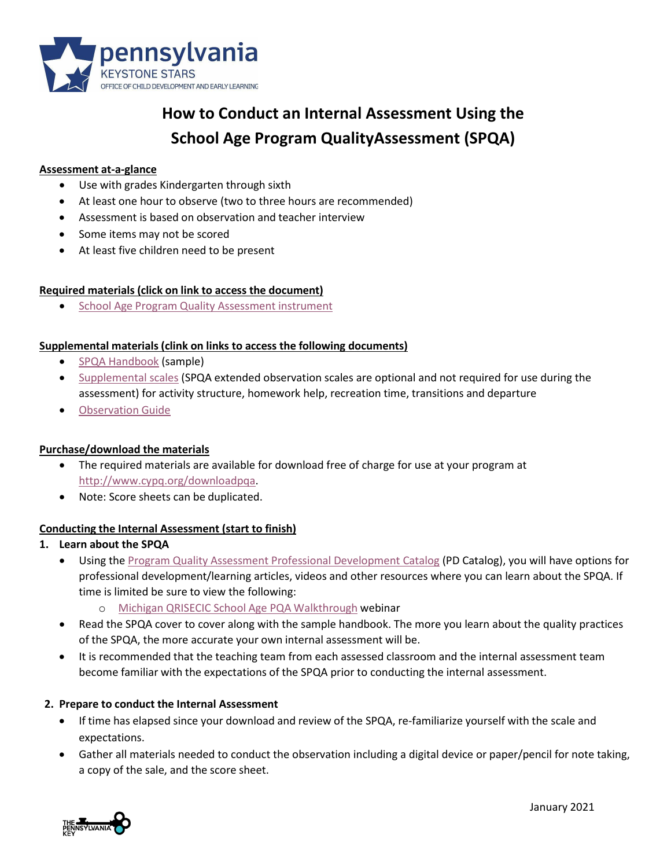

# **How to Conduct an Internal Assessment Using the School Age Program QualityAssessment (SPQA)**

#### **Assessment at-a-glance**

- Use with grades Kindergarten through sixth
- At least one hour to observe (two to three hours are recommended)
- Assessment is based on observation and teacher interview
- Some items may not be scored
- At least five children need to be present

### **Required materials (click on link to access the document)**

• School Age Program [Quality Assessment](http://www.cypq.org/downloadpqa) instrument

#### **Supplemental materials(clink on links to access the following documents)**

- SPQA [Handbook](http://www.cypq.org/sites/cypq.org/files/Youth_YPA_HandbookSample.pdf) (sample)
- [Supplemental scales](http://www.cypq.org/downloadpqa) (SPQA extended observation scales are optional and not required for use during the assessment) for activity structure, homework help, recreation time, transitions and departure
- [Observation](http://cypq.org/sites/cypq.org/files/PARTICIPANT%20FOLDER-1%20School-Age%20PQA%20Observation%20Guide%2008.25.18_0.pdf) Guide

### **Purchase/download the materials**

- The required materials are available for download free of charge for use at your program at [http://www.cypq.org/downloadpqa.](http://www.cypq.org/downloadpqa)
- Note: Score sheets can be duplicated.

### **Conducting the Internal Assessment (start to finish)**

### **1. Learn about the SPQA**

- Using the [Program Quality Assessment Professional Development Catalog](https://s35729.pcdn.co/wp-content/uploads/2020/11/PQA-PD-Catalog-10-2-2020.pdf) (PD Catalog), you will have options for professional development/learning articles, videos and other resources where you can learn about the SPQA. If time is limited be sure to view the following:
	- o Michigan QRISECIC School Age PQA [Walkthrough](http://cypq.org/webinar/ioplk3) webinar
- Read the SPQA cover to cover along with the sample handbook. The more you learn about the quality practices of the SPQA, the more accurate your own internal assessment will be.
- It is recommended that the teaching team from each assessed classroom and the internal assessment team become familiar with the expectations of the SPQA prior to conducting the internal assessment.

### **2. Prepare to conduct the Internal Assessment**

- If time has elapsed since your download and review of the SPQA, re-familiarize yourself with the scale and expectations.
- Gather all materials needed to conduct the observation including a digital device or paper/pencil for note taking, a copy of the sale, and the score sheet.

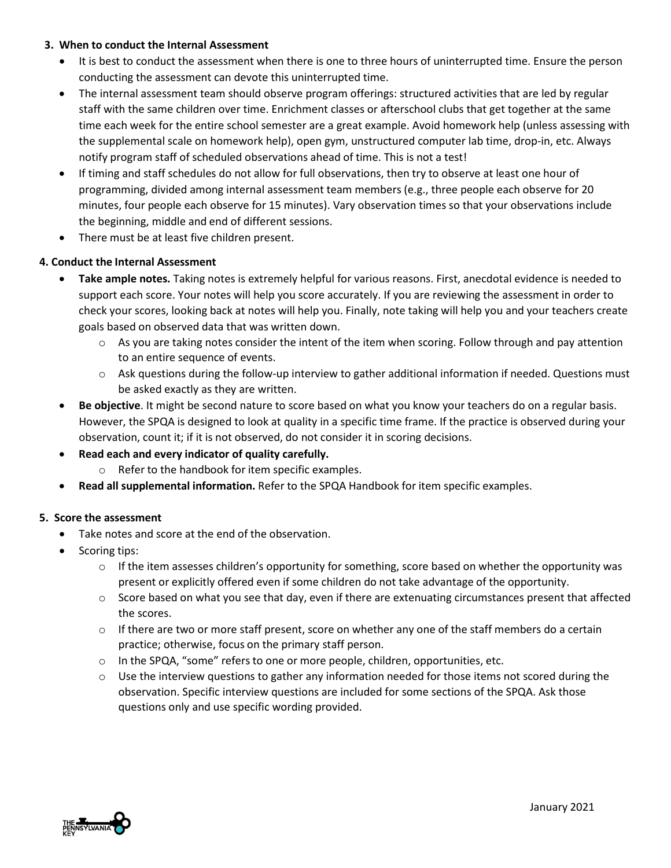## **3. When to conduct the Internal Assessment**

- It is best to conduct the assessment when there is one to three hours of uninterrupted time. Ensure the person conducting the assessment can devote this uninterrupted time.
- The internal assessment team should observe program offerings: structured activities that are led by regular staff with the same children over time. Enrichment classes or afterschool clubs that get together at the same time each week for the entire school semester are a great example. Avoid homework help (unless assessing with the supplemental scale on homework help), open gym, unstructured computer lab time, drop-in, etc. Always notify program staff of scheduled observations ahead of time. This is not a test!
- If timing and staff schedules do not allow for full observations, then try to observe at least one hour of programming, divided among internal assessment team members (e.g., three people each observe for 20 minutes, four people each observe for 15 minutes). Vary observation times so that your observations include the beginning, middle and end of different sessions.
- There must be at least five children present.

# **4. Conduct the Internal Assessment**

- **Take ample notes.** Taking notes is extremely helpful for various reasons. First, anecdotal evidence is needed to support each score. Your notes will help you score accurately. If you are reviewing the assessment in order to check your scores, looking back at notes will help you. Finally, note taking will help you and your teachers create goals based on observed data that was written down.
	- $\circ$  As you are taking notes consider the intent of the item when scoring. Follow through and pay attention to an entire sequence of events.
	- o Ask questions during the follow-up interview to gather additional information if needed. Questions must be asked exactly as they are written.
- **Be objective**. It might be second nature to score based on what you know your teachers do on a regular basis. However, the SPQA is designed to look at quality in a specific time frame. If the practice is observed during your observation, count it; if it is not observed, do not consider it in scoring decisions.
- **Read each and every indicator of quality carefully.**
	- o Refer to the handbook for item specific examples.
- **Read all supplemental information.** Refer to the SPQA Handbook for item specific examples.

# **5. Score the assessment**

- Take notes and score at the end of the observation.
- Scoring tips:
	- $\circ$  If the item assesses children's opportunity for something, score based on whether the opportunity was present or explicitly offered even if some children do not take advantage of the opportunity.
	- $\circ$  Score based on what you see that day, even if there are extenuating circumstances present that affected the scores.
	- $\circ$  If there are two or more staff present, score on whether any one of the staff members do a certain practice; otherwise, focus on the primary staff person.
	- o In the SPQA, "some" refers to one or more people, children, opportunities, etc.
	- $\circ$  Use the interview questions to gather any information needed for those items not scored during the observation. Specific interview questions are included for some sections of the SPQA. Ask those questions only and use specific wording provided.